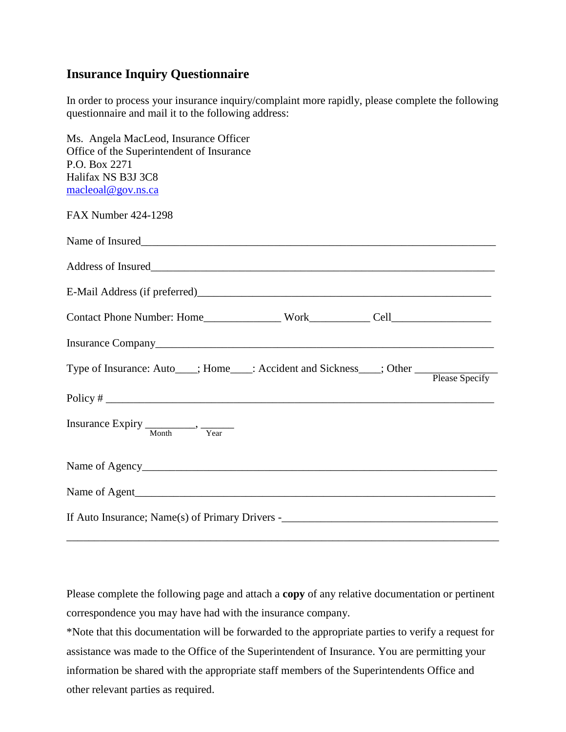## **Insurance Inquiry Questionnaire**

In order to process your insurance inquiry/complaint more rapidly, please complete the following questionnaire and mail it to the following address:

| Ms. Angela MacLeod, Insurance Officer<br>Office of the Superintendent of Insurance                  |  |  |
|-----------------------------------------------------------------------------------------------------|--|--|
| P.O. Box 2271                                                                                       |  |  |
| Halifax NS B3J 3C8                                                                                  |  |  |
| macleoal@gov.ns.ca                                                                                  |  |  |
| <b>FAX Number 424-1298</b>                                                                          |  |  |
| Name of Insured                                                                                     |  |  |
|                                                                                                     |  |  |
|                                                                                                     |  |  |
|                                                                                                     |  |  |
|                                                                                                     |  |  |
| Type of Insurance: Auto___; Home___: Accident and Sickness___; Other ____________<br>Please Specify |  |  |
|                                                                                                     |  |  |
| Insurance Expiry $\frac{1}{\text{Month}}$ , $\frac{1}{\text{Year}}$                                 |  |  |
| Name of Agency                                                                                      |  |  |
|                                                                                                     |  |  |
|                                                                                                     |  |  |

Please complete the following page and attach a **copy** of any relative documentation or pertinent correspondence you may have had with the insurance company.

\_\_\_\_\_\_\_\_\_\_\_\_\_\_\_\_\_\_\_\_\_\_\_\_\_\_\_\_\_\_\_\_\_\_\_\_\_\_\_\_\_\_\_\_\_\_\_\_\_\_\_\_\_\_\_\_\_\_\_\_\_\_\_\_\_\_\_\_\_\_\_\_\_\_\_\_\_\_

\*Note that this documentation will be forwarded to the appropriate parties to verify a request for assistance was made to the Office of the Superintendent of Insurance. You are permitting your information be shared with the appropriate staff members of the Superintendents Office and other relevant parties as required.